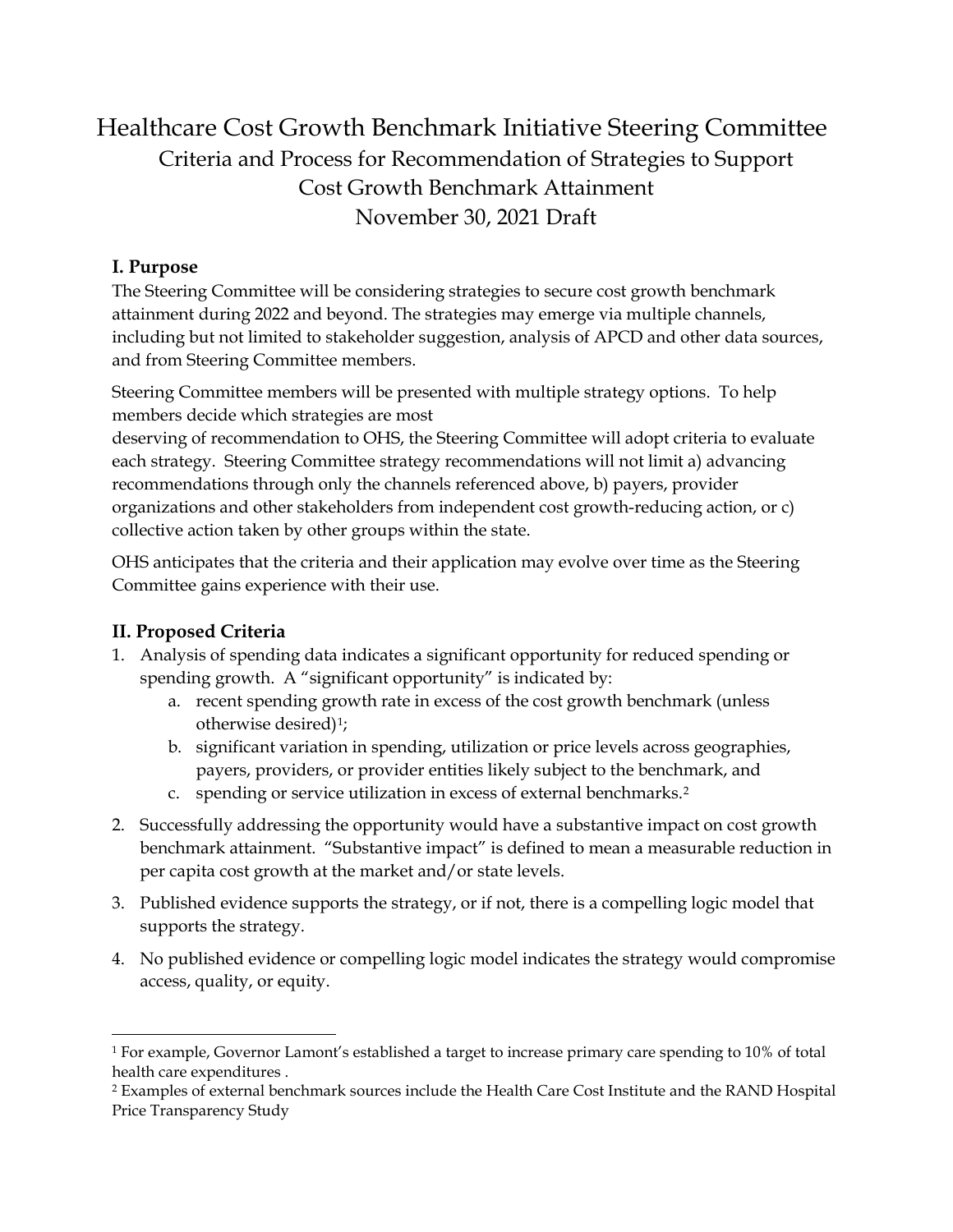# Healthcare Cost Growth Benchmark Initiative Steering Committee Criteria and Process for Recommendation of Strategies to Support Cost Growth Benchmark Attainment November 30, 2021 Draft

### **I. Purpose**

The Steering Committee will be considering strategies to secure cost growth benchmark attainment during 2022 and beyond. The strategies may emerge via multiple channels, including but not limited to stakeholder suggestion, analysis of APCD and other data sources, and from Steering Committee members.

Steering Committee members will be presented with multiple strategy options. To help members decide which strategies are most

deserving of recommendation to OHS, the Steering Committee will adopt criteria to evaluate each strategy. Steering Committee strategy recommendations will not limit a) advancing recommendations through only the channels referenced above, b) payers, provider organizations and other stakeholders from independent cost growth-reducing action, or c) collective action taken by other groups within the state.

OHS anticipates that the criteria and their application may evolve over time as the Steering Committee gains experience with their use.

## **II. Proposed Criteria**

- 1. Analysis of spending data indicates a significant opportunity for reduced spending or spending growth. A "significant opportunity" is indicated by:
	- a. recent spending growth rate in excess of the cost growth benchmark (unless otherwise desired)[1;](#page-0-0)
	- b. significant variation in spending, utilization or price levels across geographies, payers, providers, or provider entities likely subject to the benchmark, and
	- c. spending or service utilization in excess of external benchmarks.[2](#page-0-1)
- 2. Successfully addressing the opportunity would have a substantive impact on cost growth benchmark attainment. "Substantive impact" is defined to mean a measurable reduction in per capita cost growth at the market and/or state levels.
- 3. Published evidence supports the strategy, or if not, there is a compelling logic model that supports the strategy.
- 4. No published evidence or compelling logic model indicates the strategy would compromise access, quality, or equity.

<span id="page-0-0"></span><sup>1</sup> For example, Governor Lamont's established a target to increase primary care spending to 10% of total health care expenditures .

<span id="page-0-1"></span><sup>2</sup> Examples of external benchmark sources include the Health Care Cost Institute and the RAND Hospital Price Transparency Study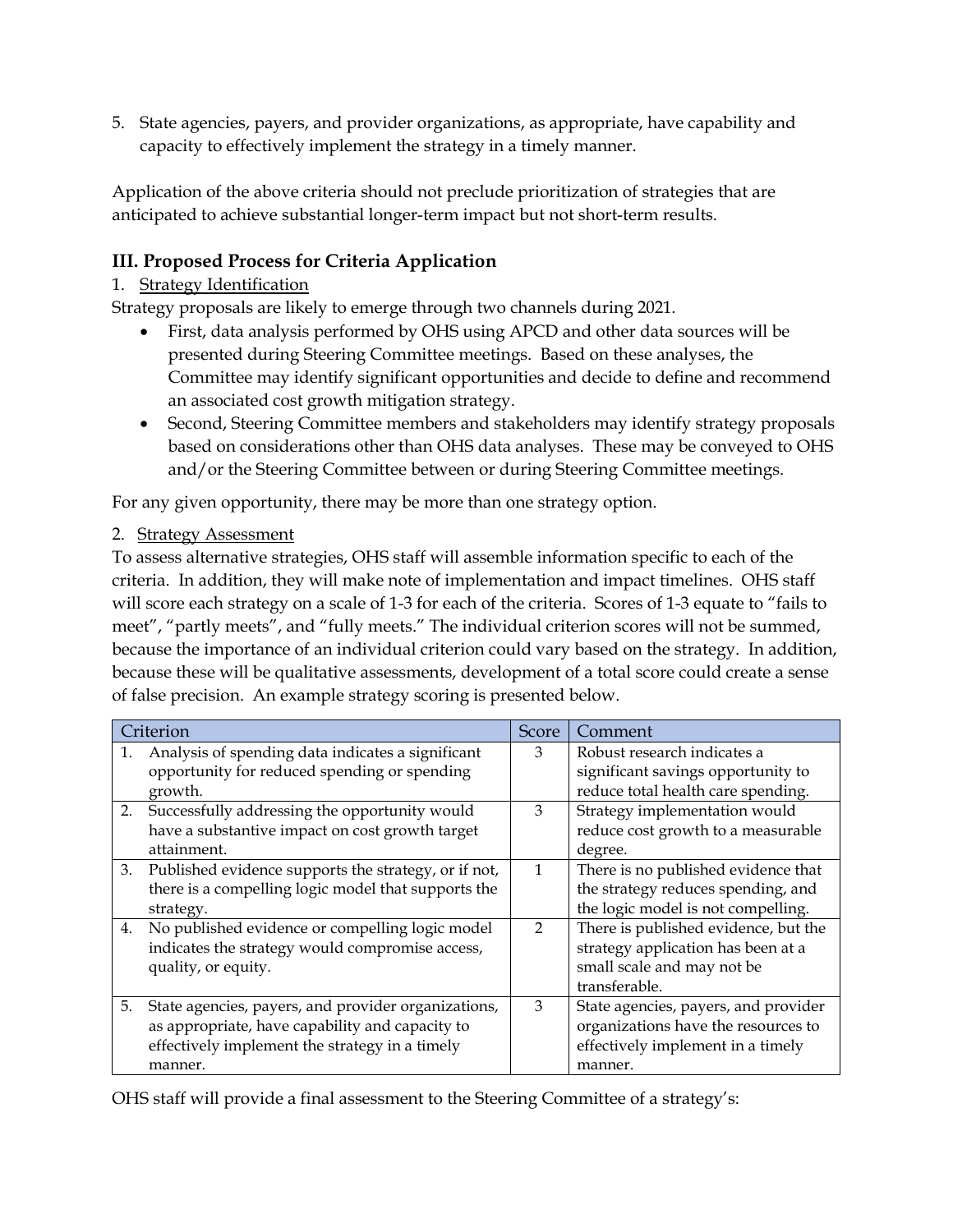5. State agencies, payers, and provider organizations, as appropriate, have capability and capacity to effectively implement the strategy in a timely manner.

Application of the above criteria should not preclude prioritization of strategies that are anticipated to achieve substantial longer-term impact but not short-term results.

### **III. Proposed Process for Criteria Application**

#### 1. Strategy Identification

Strategy proposals are likely to emerge through two channels during 2021.

- First, data analysis performed by OHS using APCD and other data sources will be presented during Steering Committee meetings. Based on these analyses, the Committee may identify significant opportunities and decide to define and recommend an associated cost growth mitigation strategy.
- Second, Steering Committee members and stakeholders may identify strategy proposals based on considerations other than OHS data analyses. These may be conveyed to OHS and/or the Steering Committee between or during Steering Committee meetings.

For any given opportunity, there may be more than one strategy option.

#### 2. Strategy Assessment

To assess alternative strategies, OHS staff will assemble information specific to each of the criteria. In addition, they will make note of implementation and impact timelines. OHS staff will score each strategy on a scale of 1-3 for each of the criteria. Scores of 1-3 equate to "fails to meet", "partly meets", and "fully meets." The individual criterion scores will not be summed, because the importance of an individual criterion could vary based on the strategy. In addition, because these will be qualitative assessments, development of a total score could create a sense of false precision. An example strategy scoring is presented below.

| Criterion |                                                      | Score         | Comment                              |
|-----------|------------------------------------------------------|---------------|--------------------------------------|
| 1.        | Analysis of spending data indicates a significant    | 3             | Robust research indicates a          |
|           | opportunity for reduced spending or spending         |               | significant savings opportunity to   |
|           | growth.                                              |               | reduce total health care spending.   |
|           | 2. Successfully addressing the opportunity would     | 3             | Strategy implementation would        |
|           | have a substantive impact on cost growth target      |               | reduce cost growth to a measurable   |
|           | attainment.                                          |               | degree.                              |
| 3.        | Published evidence supports the strategy, or if not, | $\mathbf{1}$  | There is no published evidence that  |
|           | there is a compelling logic model that supports the  |               | the strategy reduces spending, and   |
|           | strategy.                                            |               | the logic model is not compelling.   |
| 4.        | No published evidence or compelling logic model      | $\mathcal{P}$ | There is published evidence, but the |
|           | indicates the strategy would compromise access,      |               | strategy application has been at a   |
|           | quality, or equity.                                  |               | small scale and may not be           |
|           |                                                      |               | transferable.                        |
| 5.        | State agencies, payers, and provider organizations,  | 3             | State agencies, payers, and provider |
|           | as appropriate, have capability and capacity to      |               | organizations have the resources to  |
|           | effectively implement the strategy in a timely       |               | effectively implement in a timely    |
|           | manner.                                              |               | manner.                              |

OHS staff will provide a final assessment to the Steering Committee of a strategy's: